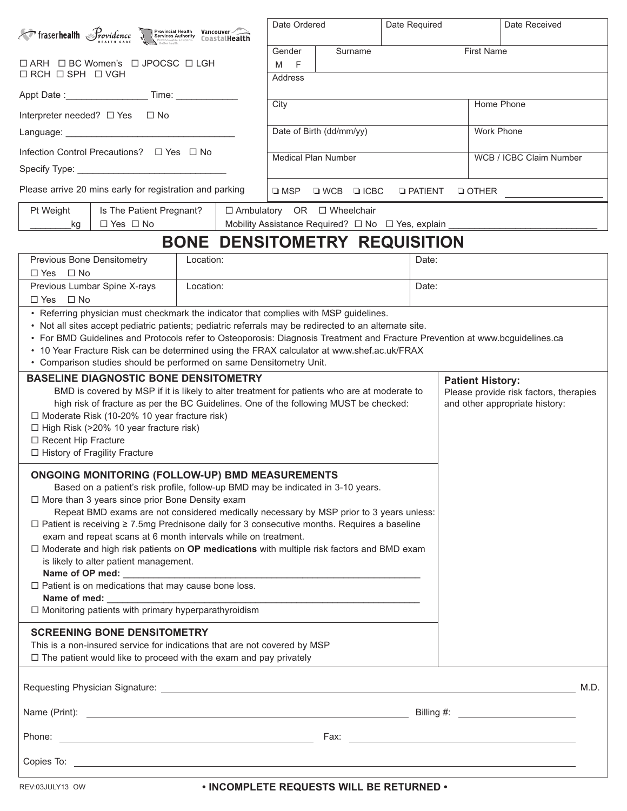| Froserhealth Providence Services Authority CoastalHealth                                                                                                                                                                                                                                                                                                                                                                                                                                                                                                                                                                                                                                                                                       | Date Ordered                                                                                                                                          |                        |                  | Date Required                                                                               |                                      | Date Received |                   |            |                                                                          |  |
|------------------------------------------------------------------------------------------------------------------------------------------------------------------------------------------------------------------------------------------------------------------------------------------------------------------------------------------------------------------------------------------------------------------------------------------------------------------------------------------------------------------------------------------------------------------------------------------------------------------------------------------------------------------------------------------------------------------------------------------------|-------------------------------------------------------------------------------------------------------------------------------------------------------|------------------------|------------------|---------------------------------------------------------------------------------------------|--------------------------------------|---------------|-------------------|------------|--------------------------------------------------------------------------|--|
| □ ARH □ BC Women's □ JPOCSC □ LGH                                                                                                                                                                                                                                                                                                                                                                                                                                                                                                                                                                                                                                                                                                              |                                                                                                                                                       |                        |                  | Gender<br>F<br>M                                                                            | Surname                              |               | <b>First Name</b> |            |                                                                          |  |
| $\Box$ RCH $\Box$ SPH $\Box$ VGH                                                                                                                                                                                                                                                                                                                                                                                                                                                                                                                                                                                                                                                                                                               |                                                                                                                                                       |                        |                  | Address                                                                                     |                                      |               |                   |            |                                                                          |  |
|                                                                                                                                                                                                                                                                                                                                                                                                                                                                                                                                                                                                                                                                                                                                                |                                                                                                                                                       |                        |                  | City                                                                                        |                                      |               |                   | Home Phone |                                                                          |  |
| Interpreter needed? □ Yes □ No                                                                                                                                                                                                                                                                                                                                                                                                                                                                                                                                                                                                                                                                                                                 |                                                                                                                                                       |                        |                  | Date of Birth (dd/mm/yy)                                                                    |                                      |               |                   | Work Phone |                                                                          |  |
|                                                                                                                                                                                                                                                                                                                                                                                                                                                                                                                                                                                                                                                                                                                                                |                                                                                                                                                       |                        |                  |                                                                                             |                                      |               |                   |            |                                                                          |  |
| Infection Control Precautions? □ Yes □ No                                                                                                                                                                                                                                                                                                                                                                                                                                                                                                                                                                                                                                                                                                      | <b>Medical Plan Number</b>                                                                                                                            |                        |                  |                                                                                             | WCB / ICBC Claim Number              |               |                   |            |                                                                          |  |
| Please arrive 20 mins early for registration and parking                                                                                                                                                                                                                                                                                                                                                                                                                                                                                                                                                                                                                                                                                       | $\square$ MSP                                                                                                                                         | $\Box$ WCB $\Box$ ICBC | <b>D</b> PATIENT |                                                                                             | $\Box$ OTHER                         |               |                   |            |                                                                          |  |
| Pt Weight<br>Is The Patient Pregnant?<br>$\Box$ Yes $\Box$ No<br>kg                                                                                                                                                                                                                                                                                                                                                                                                                                                                                                                                                                                                                                                                            |                                                                                                                                                       |                        |                  | $\Box$ Ambulatory OR $\Box$ Wheelchair<br>Mobility Assistance Required? □ No □ Yes, explain |                                      |               |                   |            |                                                                          |  |
|                                                                                                                                                                                                                                                                                                                                                                                                                                                                                                                                                                                                                                                                                                                                                |                                                                                                                                                       |                        |                  |                                                                                             | <b>BONE DENSITOMETRY REQUISITION</b> |               |                   |            |                                                                          |  |
| Previous Bone Densitometry<br>$\Box$ Yes $\Box$ No                                                                                                                                                                                                                                                                                                                                                                                                                                                                                                                                                                                                                                                                                             |                                                                                                                                                       |                        | Date:            |                                                                                             |                                      |               |                   |            |                                                                          |  |
| Previous Lumbar Spine X-rays<br>Location:<br>$\Box$ Yes $\Box$ No                                                                                                                                                                                                                                                                                                                                                                                                                                                                                                                                                                                                                                                                              |                                                                                                                                                       |                        |                  | Date:                                                                                       |                                      |               |                   |            |                                                                          |  |
| • Not all sites accept pediatric patients; pediatric referrals may be redirected to an alternate site.<br>• For BMD Guidelines and Protocols refer to Osteoporosis: Diagnosis Treatment and Fracture Prevention at www.bcguidelines.ca<br>• 10 Year Fracture Risk can be determined using the FRAX calculator at www.shef.ac.uk/FRAX<br>• Comparison studies should be performed on same Densitometry Unit.<br><b>BASELINE DIAGNOSTIC BONE DENSITOMETRY</b><br><b>Patient History:</b>                                                                                                                                                                                                                                                         |                                                                                                                                                       |                        |                  |                                                                                             |                                      |               |                   |            |                                                                          |  |
| BMD is covered by MSP if it is likely to alter treatment for patients who are at moderate to<br>high risk of fracture as per the BC Guidelines. One of the following MUST be checked:<br>$\Box$ Moderate Risk (10-20% 10 year fracture risk)<br>$\Box$ High Risk (>20% 10 year fracture risk)<br>□ Recent Hip Fracture<br>□ History of Fragility Fracture                                                                                                                                                                                                                                                                                                                                                                                      |                                                                                                                                                       |                        |                  |                                                                                             |                                      |               |                   |            | Please provide risk factors, therapies<br>and other appropriate history: |  |
| <b>ONGOING MONITORING (FOLLOW-UP) BMD MEASUREMENTS</b><br>Based on a patient's risk profile, follow-up BMD may be indicated in 3-10 years.<br>$\Box$ More than 3 years since prior Bone Density exam<br>Repeat BMD exams are not considered medically necessary by MSP prior to 3 years unless:<br>$\Box$ Patient is receiving $\geq$ 7.5mg Prednisone daily for 3 consecutive months. Requires a baseline<br>exam and repeat scans at 6 month intervals while on treatment.<br>$\Box$ Moderate and high risk patients on OP medications with multiple risk factors and BMD exam<br>is likely to alter patient management.<br>Name of OP med: $\Box$ Patient is on medications that may cause bone loss.<br><b>SCREENING BONE DENSITOMETRY</b> |                                                                                                                                                       |                        |                  |                                                                                             |                                      |               |                   |            |                                                                          |  |
|                                                                                                                                                                                                                                                                                                                                                                                                                                                                                                                                                                                                                                                                                                                                                | This is a non-insured service for indications that are not covered by MSP<br>$\Box$ The patient would like to proceed with the exam and pay privately |                        |                  |                                                                                             |                                      |               |                   |            |                                                                          |  |
|                                                                                                                                                                                                                                                                                                                                                                                                                                                                                                                                                                                                                                                                                                                                                |                                                                                                                                                       |                        |                  |                                                                                             |                                      |               |                   |            |                                                                          |  |
|                                                                                                                                                                                                                                                                                                                                                                                                                                                                                                                                                                                                                                                                                                                                                |                                                                                                                                                       |                        |                  |                                                                                             |                                      |               |                   |            |                                                                          |  |
|                                                                                                                                                                                                                                                                                                                                                                                                                                                                                                                                                                                                                                                                                                                                                |                                                                                                                                                       |                        |                  |                                                                                             |                                      |               |                   |            |                                                                          |  |
|                                                                                                                                                                                                                                                                                                                                                                                                                                                                                                                                                                                                                                                                                                                                                |                                                                                                                                                       |                        |                  |                                                                                             |                                      |               |                   |            |                                                                          |  |

**• INCOMPLETE REQUESTS WILL BE RETURNED •**